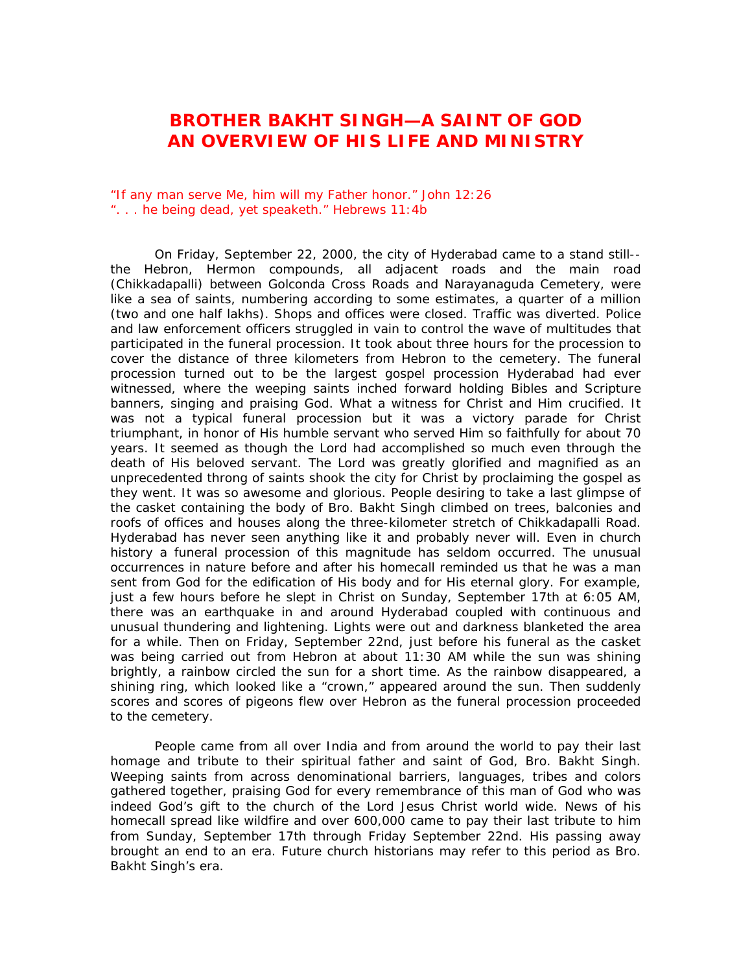## **BROTHER BAKHT SINGH—A SAINT OF GOD AN OVERVIEW OF HIS LIFE AND MINISTRY**

"If any man serve Me, him will my Father honor." John 12:26 ". . . he being dead, yet speaketh." Hebrews 11:4b

On Friday, September 22, 2000, the city of Hyderabad came to a stand still- the Hebron, Hermon compounds, all adjacent roads and the main road (Chikkadapalli) between Golconda Cross Roads and Narayanaguda Cemetery, were like a sea of saints, numbering according to some estimates, a quarter of a million (two and one half lakhs). Shops and offices were closed. Traffic was diverted. Police and law enforcement officers struggled in vain to control the wave of multitudes that participated in the funeral procession. It took about three hours for the procession to cover the distance of three kilometers from Hebron to the cemetery. The funeral procession turned out to be the largest gospel procession Hyderabad had ever witnessed, where the weeping saints inched forward holding Bibles and Scripture banners, singing and praising God. What a witness for Christ and Him crucified. It was not a typical funeral procession but it was a victory parade for Christ triumphant, in honor of His humble servant who served Him so faithfully for about 70 years. It seemed as though the Lord had accomplished so much even through the death of His beloved servant. The Lord was greatly glorified and magnified as an unprecedented throng of saints shook the city for Christ by proclaiming the gospel as they went. It was so awesome and glorious. People desiring to take a last glimpse of the casket containing the body of Bro. Bakht Singh climbed on trees, balconies and roofs of offices and houses along the three-kilometer stretch of Chikkadapalli Road. Hyderabad has never seen anything like it and probably never will. Even in church history a funeral procession of this magnitude has seldom occurred. The unusual occurrences in nature before and after his homecall reminded us that he was a man sent from God for the edification of His body and for His eternal glory. For example, just a few hours before he slept in Christ on Sunday, September 17th at 6:05 AM, there was an earthquake in and around Hyderabad coupled with continuous and unusual thundering and lightening. Lights were out and darkness blanketed the area for a while. Then on Friday, September 22nd, just before his funeral as the casket was being carried out from Hebron at about 11:30 AM while the sun was shining brightly, a rainbow circled the sun for a short time. As the rainbow disappeared, a shining ring, which looked like a "crown," appeared around the sun. Then suddenly scores and scores of pigeons flew over Hebron as the funeral procession proceeded to the cemetery.

People came from all over India and from around the world to pay their last homage and tribute to their spiritual father and saint of God, Bro. Bakht Singh. Weeping saints from across denominational barriers, languages, tribes and colors gathered together, praising God for every remembrance of this man of God who was indeed God's gift to the church of the Lord Jesus Christ world wide. News of his homecall spread like wildfire and over 600,000 came to pay their last tribute to him from Sunday, September 17th through Friday September 22nd. His passing away brought an end to an era. Future church historians may refer to this period as Bro. Bakht Singh's era.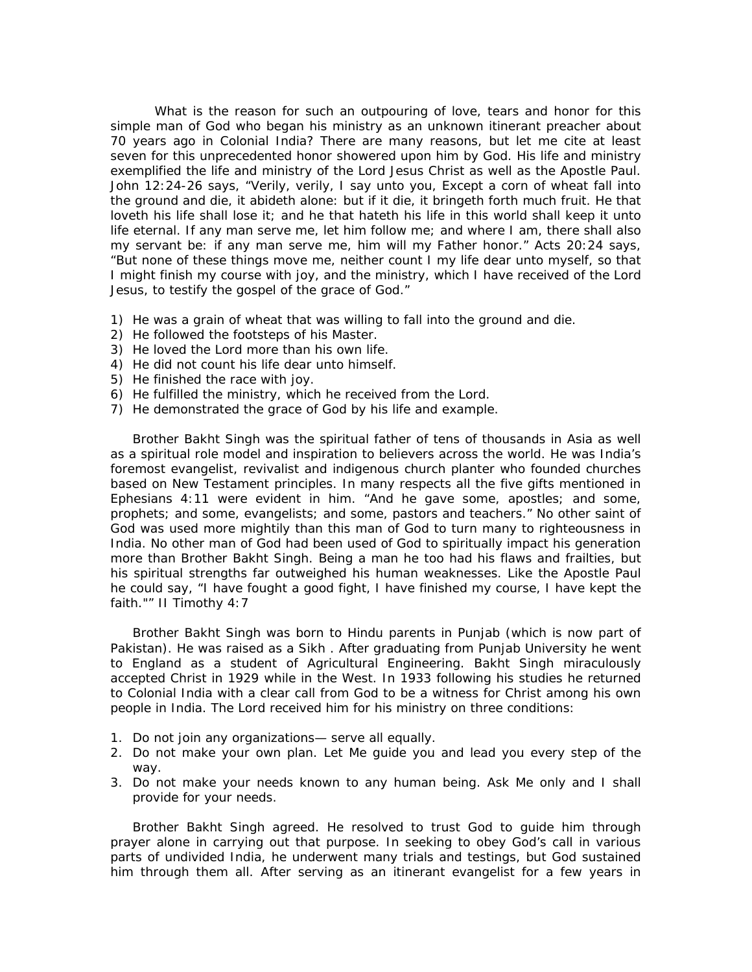What is the reason for such an outpouring of love, tears and honor for this simple man of God who began his ministry as an unknown itinerant preacher about 70 years ago in Colonial India? There are many reasons, but let me cite at least seven for this unprecedented honor showered upon him by God. His life and ministry exemplified the life and ministry of the Lord Jesus Christ as well as the Apostle Paul. John 12:24-26 says, "Verily, verily, I say unto you, Except a corn of wheat fall into the ground and die, it abideth alone: but if it die, it bringeth forth much fruit. He that loveth his life shall lose it; and he that hateth his life in this world shall keep it unto life eternal. If any man serve me, let him follow me; and where I am, there shall also my servant be: if any man serve me, him will my Father honor." Acts 20:24 says, "But none of these things move me, neither count I my life dear unto myself, so that I might finish my course with joy, and the ministry, which I have received of the Lord Jesus, to testify the gospel of the grace of God."

- 1) He was a grain of wheat that was willing to fall into the ground and die.
- 2) He followed the footsteps of his Master.
- 3) He loved the Lord more than his own life.
- 4) He did not count his life dear unto himself.
- 5) He finished the race with joy.
- 6) He fulfilled the ministry, which he received from the Lord.
- 7) He demonstrated the grace of God by his life and example.

Brother Bakht Singh was the spiritual father of tens of thousands in Asia as well as a spiritual role model and inspiration to believers across the world. He was India's foremost evangelist, revivalist and indigenous church planter who founded churches based on New Testament principles. In many respects all the five gifts mentioned in Ephesians 4:11 were evident in him. "And he gave some, apostles; and some, prophets; and some, evangelists; and some, pastors and teachers." No other saint of God was used more mightily than this man of God to turn many to righteousness in India. No other man of God had been used of God to spiritually impact his generation more than Brother Bakht Singh. Being a man he too had his flaws and frailties, but his spiritual strengths far outweighed his human weaknesses. Like the Apostle Paul he could say, "I have fought a good fight, I have finished my course, I have kept the faith."" II Timothy 4:7

Brother Bakht Singh was born to Hindu parents in Punjab (which is now part of Pakistan). He was raised as a Sikh . After graduating from Punjab University he went to England as a student of Agricultural Engineering. Bakht Singh miraculously accepted Christ in 1929 while in the West. In 1933 following his studies he returned to Colonial India with a clear call from God to be a witness for Christ among his own people in India. The Lord received him for his ministry on three conditions:

- 1. Do not join any organizations— serve all equally.
- 2. Do not make your own plan. Let Me guide you and lead you every step of the way.
- 3. Do not make your needs known to any human being. Ask Me only and I shall provide for your needs.

Brother Bakht Singh agreed. He resolved to trust God to guide him through prayer alone in carrying out that purpose. In seeking to obey God's call in various parts of undivided India, he underwent many trials and testings, but God sustained him through them all. After serving as an itinerant evangelist for a few years in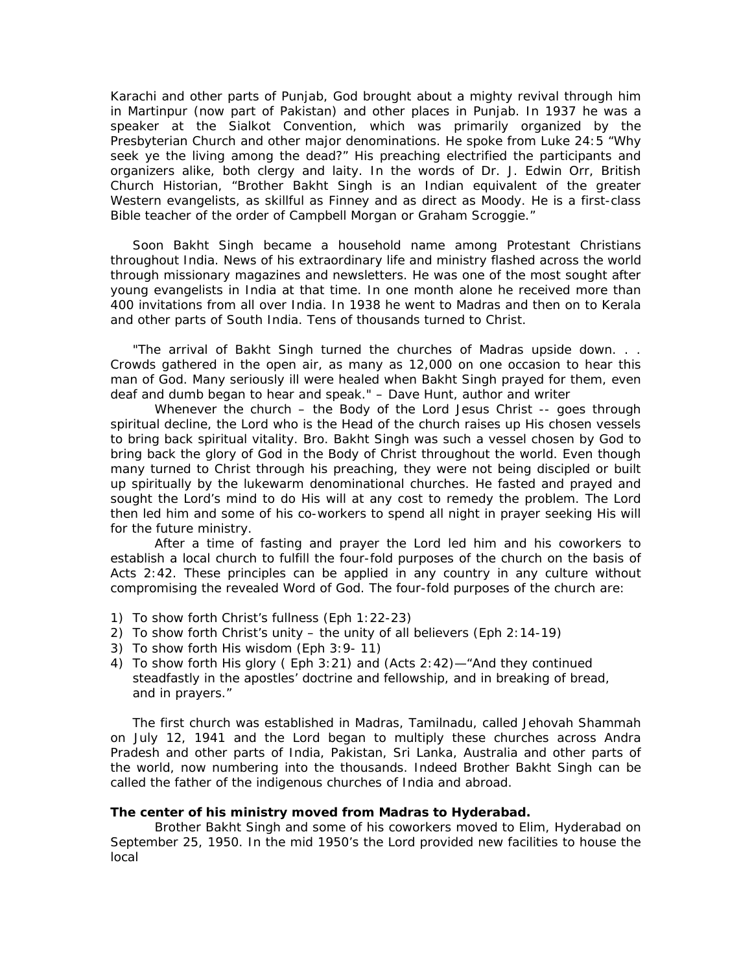Karachi and other parts of Punjab, God brought about a mighty revival through him in Martinpur (now part of Pakistan) and other places in Punjab. In 1937 he was a speaker at the Sialkot Convention, which was primarily organized by the Presbyterian Church and other major denominations. He spoke from Luke 24:5 "Why seek ye the living among the dead?" His preaching electrified the participants and organizers alike, both clergy and laity. In the words of Dr. J. Edwin Orr, British Church Historian, "Brother Bakht Singh is an Indian equivalent of the greater Western evangelists, as skillful as Finney and as direct as Moody. He is a first-class Bible teacher of the order of Campbell Morgan or Graham Scroggie."

Soon Bakht Singh became a household name among Protestant Christians throughout India. News of his extraordinary life and ministry flashed across the world through missionary magazines and newsletters. He was one of the most sought after young evangelists in India at that time. In one month alone he received more than 400 invitations from all over India. In 1938 he went to Madras and then on to Kerala and other parts of South India. Tens of thousands turned to Christ.

*"The arrival of Bakht Singh turned the churches of Madras upside down. . . Crowds gathered in the open air, as many as 12,000 on one occasion to hear this man of God. Many seriously ill were healed when Bakht Singh prayed for them, even deaf and dumb began to hear and speak." – Dave Hunt, author and writer* 

Whenever the church – the Body of the Lord Jesus Christ -- goes through spiritual decline, the Lord who is the Head of the church raises up His chosen vessels to bring back spiritual vitality. Bro. Bakht Singh was such a vessel chosen by God to bring back the glory of God in the Body of Christ throughout the world. Even though many turned to Christ through his preaching, they were not being discipled or built up spiritually by the lukewarm denominational churches. He fasted and prayed and sought the Lord's mind to do His will at any cost to remedy the problem. The Lord then led him and some of his co-workers to spend all night in prayer seeking His will for the future ministry.

After a time of fasting and prayer the Lord led him and his coworkers to establish a local church to fulfill the four-fold purposes of the church on the basis of Acts 2:42. These principles can be applied in any country in any culture without compromising the revealed Word of God. The four-fold purposes of the church are:

- 1) To show forth Christ's fullness (Eph 1:22-23)
- 2) To show forth Christ's unity the unity of all believers (Eph 2:14-19)
- 3) To show forth His wisdom (Eph 3:9- 11)
- 4) To show forth His glory ( Eph 3:21) and (Acts 2:42)—"And they continued steadfastly in the apostles' doctrine and fellowship, and in breaking of bread, and in prayers."

The first church was established in Madras, Tamilnadu, called Jehovah Shammah on July 12, 1941 and the Lord began to multiply these churches across Andra Pradesh and other parts of India, Pakistan, Sri Lanka, Australia and other parts of the world, now numbering into the thousands. Indeed Brother Bakht Singh can be called the father of the indigenous churches of India and abroad.

## **The center of his ministry moved from Madras to Hyderabad.**

Brother Bakht Singh and some of his coworkers moved to Elim, Hyderabad on September 25, 1950. In the mid 1950's the Lord provided new facilities to house the local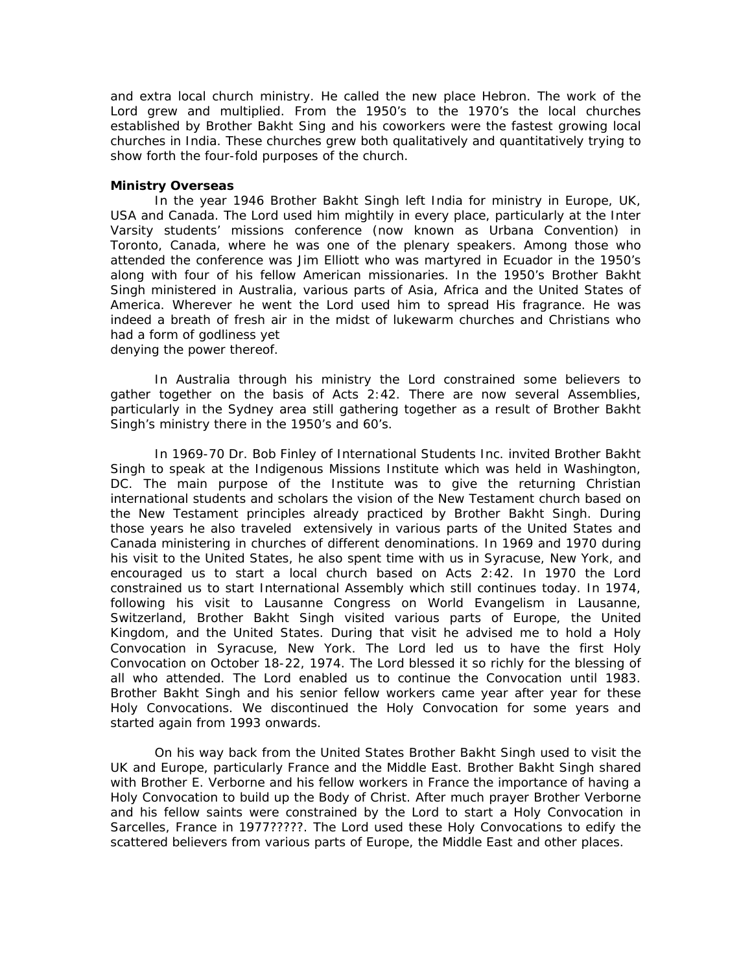and extra local church ministry. He called the new place Hebron. The work of the Lord grew and multiplied. From the 1950's to the 1970's the local churches established by Brother Bakht Sing and his coworkers were the fastest growing local churches in India. These churches grew both qualitatively and quantitatively trying to show forth the four-fold purposes of the church.

## **Ministry Overseas**

In the year 1946 Brother Bakht Singh left India for ministry in Europe, UK, USA and Canada. The Lord used him mightily in every place, particularly at the Inter Varsity students' missions conference (now known as Urbana Convention) in Toronto, Canada, where he was one of the plenary speakers. Among those who attended the conference was Jim Elliott who was martyred in Ecuador in the 1950's along with four of his fellow American missionaries. In the 1950's Brother Bakht Singh ministered in Australia, various parts of Asia, Africa and the United States of America. Wherever he went the Lord used him to spread His fragrance. He was indeed a breath of fresh air in the midst of lukewarm churches and Christians who had a form of godliness yet denying the power thereof.

In Australia through his ministry the Lord constrained some believers to gather together on the basis of Acts 2:42. There are now several Assemblies, particularly in the Sydney area still gathering together as a result of Brother Bakht Singh's ministry there in the 1950's and 60's.

In 1969-70 Dr. Bob Finley of International Students Inc. invited Brother Bakht Singh to speak at the Indigenous Missions Institute which was held in Washington, DC. The main purpose of the Institute was to give the returning Christian international students and scholars the vision of the New Testament church based on the New Testament principles already practiced by Brother Bakht Singh. During those years he also traveled extensively in various parts of the United States and Canada ministering in churches of different denominations. In 1969 and 1970 during his visit to the United States, he also spent time with us in Syracuse, New York, and encouraged us to start a local church based on Acts 2:42. In 1970 the Lord constrained us to start International Assembly which still continues today. In 1974, following his visit to Lausanne Congress on World Evangelism in Lausanne, Switzerland, Brother Bakht Singh visited various parts of Europe, the United Kingdom, and the United States. During that visit he advised me to hold a Holy Convocation in Syracuse, New York. The Lord led us to have the first Holy Convocation on October 18-22, 1974. The Lord blessed it so richly for the blessing of all who attended. The Lord enabled us to continue the Convocation until 1983. Brother Bakht Singh and his senior fellow workers came year after year for these Holy Convocations. We discontinued the Holy Convocation for some years and started again from 1993 onwards.

On his way back from the United States Brother Bakht Singh used to visit the UK and Europe, particularly France and the Middle East. Brother Bakht Singh shared with Brother E. Verborne and his fellow workers in France the importance of having a Holy Convocation to build up the Body of Christ. After much prayer Brother Verborne and his fellow saints were constrained by the Lord to start a Holy Convocation in Sarcelles, France in 1977?????. The Lord used these Holy Convocations to edify the scattered believers from various parts of Europe, the Middle East and other places.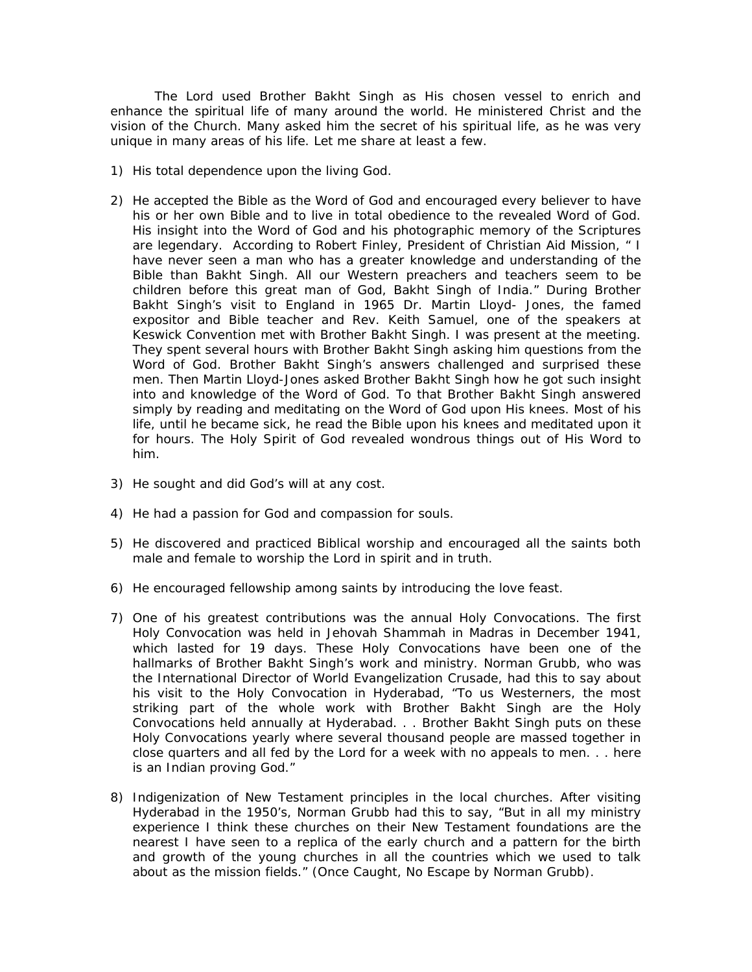The Lord used Brother Bakht Singh as His chosen vessel to enrich and enhance the spiritual life of many around the world. He ministered Christ and the vision of the Church. Many asked him the secret of his spiritual life, as he was very unique in many areas of his life. Let me share at least a few.

- 1) His total dependence upon the living God.
- 2) He accepted the Bible as the Word of God and encouraged every believer to have his or her own Bible and to live in total obedience to the revealed Word of God. His insight into the Word of God and his photographic memory of the Scriptures are legendary. According to Robert Finley, President of Christian Aid Mission, " I have never seen a man who has a greater knowledge and understanding of the Bible than Bakht Singh. All our Western preachers and teachers seem to be children before this great man of God, Bakht Singh of India." During Brother Bakht Singh's visit to England in 1965 Dr. Martin Lloyd- Jones, the famed expositor and Bible teacher and Rev. Keith Samuel, one of the speakers at Keswick Convention met with Brother Bakht Singh. I was present at the meeting. They spent several hours with Brother Bakht Singh asking him questions from the Word of God. Brother Bakht Singh's answers challenged and surprised these men. Then Martin Lloyd-Jones asked Brother Bakht Singh how he got such insight into and knowledge of the Word of God. To that Brother Bakht Singh answered simply by reading and meditating on the Word of God upon His knees. Most of his life, until he became sick, he read the Bible upon his knees and meditated upon it for hours. The Holy Spirit of God revealed wondrous things out of His Word to him.
- 3) He sought and did God's will at any cost.
- 4) He had a passion for God and compassion for souls.
- 5) He discovered and practiced Biblical worship and encouraged all the saints both male and female to worship the Lord in spirit and in truth.
- 6) He encouraged fellowship among saints by introducing the love feast.
- 7) One of his greatest contributions was the annual Holy Convocations. The first Holy Convocation was held in Jehovah Shammah in Madras in December 1941, which lasted for 19 days. These Holy Convocations have been one of the hallmarks of Brother Bakht Singh's work and ministry. Norman Grubb, who was the International Director of World Evangelization Crusade, had this to say about his visit to the Holy Convocation in Hyderabad, "To us Westerners, the most striking part of the whole work with Brother Bakht Singh are the Holy Convocations held annually at Hyderabad. . . Brother Bakht Singh puts on these Holy Convocations yearly where several thousand people are massed together in close quarters and all fed by the Lord for a week with no appeals to men. . . here is an Indian proving God."
- 8) Indigenization of New Testament principles in the local churches. After visiting Hyderabad in the 1950's, Norman Grubb had this to say, "But in all my ministry experience I think these churches on their New Testament foundations are the nearest I have seen to a replica of the early church and a pattern for the birth and growth of the young churches in all the countries which we used to talk about as the mission fields." (Once Caught, No Escape by Norman Grubb).